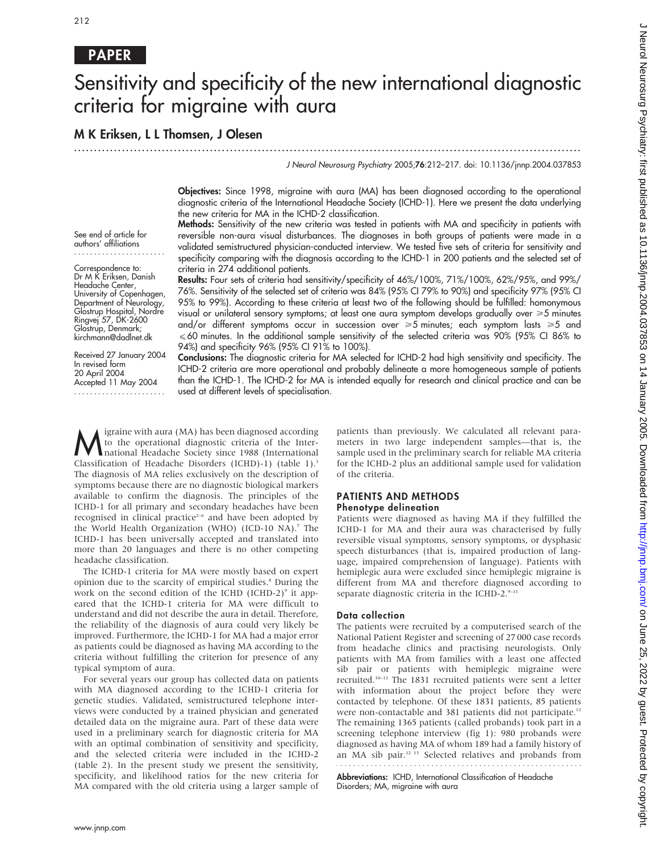## PAPER

# Sensitivity and specificity of the new international diagnostic criteria for migraine with aura

...............................................................................................................................

## M K Eriksen, L L Thomsen, J Olesen

J Neurol Neurosurg Psychiatry 2005;76:212–217. doi: 10.1136/jnnp.2004.037853

Objectives: Since 1998, migraine with aura (MA) has been diagnosed according to the operational diagnostic criteria of the International Headache Society (ICHD-1). Here we present the data underlying the new criteria for MA in the ICHD-2 classification.

See end of article for authors' affiliations .......................

Correspondence to: Dr M K Eriksen, Danish Headache Center, University of Copenhagen, Department of Neurology, Glostrup Hospital, Nordre Ringvej 57, DK-2600 Glostrup, Denmark; kirchmann@dadlnet.dk

Received 27 January 2004 In revised form 20 April 2004 Accepted 11 May 2004 .......................

Methods: Sensitivity of the new criteria was tested in patients with MA and specificity in patients with reversible non-aura visual disturbances. The diagnoses in both groups of patients were made in a validated semistructured physician-conducted interview. We tested five sets of criteria for sensitivity and specificity comparing with the diagnosis according to the ICHD-1 in 200 patients and the selected set of criteria in 274 additional patients. Results: Four sets of criteria had sensitivity/specificity of 46%/100%, 71%/100%, 62%/95%, and 99%/

76%. Sensitivity of the selected set of criteria was 84% (95% CI 79% to 90%) and specificity 97% (95% CI 95% to 99%). According to these criteria at least two of the following should be fulfilled: homonymous visual or unilateral sensory symptoms; at least one aura symptom develops gradually over  $\geq 5$  minutes and/or different symptoms occur in succession over  $\geq 5$  minutes; each symptom lasts  $\geq 5$  and  $\leqslant$  60 minutes. In the additional sample sensitivity of the selected criteria was 90% (95% CI 86% to 94%) and specificity 96% (95% CI 91% to 100%).

Conclusions: The diagnostic criteria for MA selected for ICHD-2 had high sensitivity and specificity. The ICHD-2 criteria are more operational and probably delineate a more homogeneous sample of patients than the ICHD-1. The ICHD-2 for MA is intended equally for research and clinical practice and can be used at different levels of specialisation.

Migraine with aura (MA) has been diagnosed according<br>to the operational diagnostic criteria of the Inter-<br>national Headache Society since 1988 (International<br>Classification of Headache Disorders (IGHD) 1) (table 1) to the operational diagnostic criteria of the Inter-Classification of Headache Disorders (ICHD)-1) (table 1).<sup>1</sup> The diagnosis of MA relies exclusively on the description of symptoms because there are no diagnostic biological markers available to confirm the diagnosis. The principles of the ICHD-1 for all primary and secondary headaches have been recognised in clinical practice<sup>2-6</sup> and have been adopted by the World Health Organization (WHO) (ICD-10 NA).7 The ICHD-1 has been universally accepted and translated into more than 20 languages and there is no other competing headache classification.

The ICHD-1 criteria for MA were mostly based on expert opinion due to the scarcity of empirical studies.8 During the work on the second edition of the ICHD (ICHD-2) $\degree$  it appeared that the ICHD-1 criteria for MA were difficult to understand and did not describe the aura in detail. Therefore, the reliability of the diagnosis of aura could very likely be improved. Furthermore, the ICHD-1 for MA had a major error as patients could be diagnosed as having MA according to the criteria without fulfilling the criterion for presence of any typical symptom of aura.

For several years our group has collected data on patients with MA diagnosed according to the ICHD-1 criteria for genetic studies. Validated, semistructured telephone interviews were conducted by a trained physician and generated detailed data on the migraine aura. Part of these data were used in a preliminary search for diagnostic criteria for MA with an optimal combination of sensitivity and specificity, and the selected criteria were included in the ICHD-2 (table 2). In the present study we present the sensitivity, specificity, and likelihood ratios for the new criteria for MA compared with the old criteria using a larger sample of patients than previously. We calculated all relevant parameters in two large independent samples—that is, the sample used in the preliminary search for reliable MA criteria for the ICHD-2 plus an additional sample used for validation of the criteria.

#### PATIENTS AND METHODS Phenotype delineation

Patients were diagnosed as having MA if they fulfilled the ICHD-1 for MA and their aura was characterised by fully reversible visual symptoms, sensory symptoms, or dysphasic speech disturbances (that is, impaired production of language, impaired comprehension of language). Patients with hemiplegic aura were excluded since hemiplegic migraine is different from MA and therefore diagnosed according to separate diagnostic criteria in the ICHD-2. $9-11$ 

#### Data collection

The patients were recruited by a computerised search of the National Patient Register and screening of 27 000 case records from headache clinics and practising neurologists. Only patients with MA from families with a least one affected sib pair or patients with hemiplegic migraine were recruited.10–12 The 1831 recruited patients were sent a letter with information about the project before they were contacted by telephone. Of these 1831 patients, 85 patients were non-contactable and 381 patients did not participate.<sup>12</sup> The remaining 1365 patients (called probands) took part in a screening telephone interview (fig 1): 980 probands were diagnosed as having MA of whom 189 had a family history of an MA sib pair.12 13 Selected relatives and probands from 

Abbreviations: ICHD, International Classification of Headache Disorders; MA, migraine with aura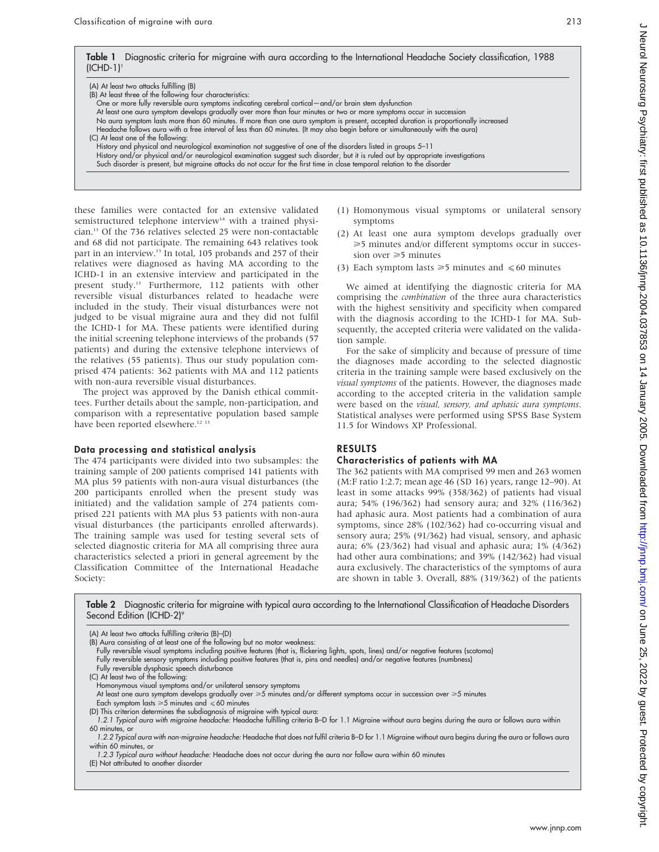Table 1 Diagnostic criteria for migraine with aura according to the International Headache Society classification, 1988  $(ICHD-1)<sup>1</sup>$ 

| (A) At least two attacks fulfilling (B)                   |                                                                                                                                     |
|-----------------------------------------------------------|-------------------------------------------------------------------------------------------------------------------------------------|
| (B) At least three of the following four characteristics: |                                                                                                                                     |
|                                                           | One or more fully reversible aura symptoms indicating cerebral cortical—and/or brain stem dysfunction                               |
|                                                           | At least one aura symptom develops gradually over more than four minutes or two or more symptoms occur in succession                |
|                                                           | No aura symptom lasts more than 60 minutes. If more than one aura symptom is present, accepted duration is proportionally increased |
|                                                           | Headache follows aura with a free interval of less than 60 minutes. (It may also begin before or simultaneously with the aura)      |
| (C) At least one of the following:                        |                                                                                                                                     |
|                                                           | History and physical and neurological examination not suggestive of one of the disorders listed in groups 5–11                      |
|                                                           | History and/or physical and/or neurological examination suggest such disorder, but it is ruled out by appropriate investigations    |
|                                                           | Such disorder is present, but migraine attacks do not occur for the first time in close temporal relation to the disorder           |

these families were contacted for an extensive validated semistructured telephone interview<sup>14</sup> with a trained physician.13 Of the 736 relatives selected 25 were non-contactable and 68 did not participate. The remaining 643 relatives took part in an interview.<sup>13</sup> In total, 105 probands and 257 of their relatives were diagnosed as having MA according to the ICHD-1 in an extensive interview and participated in the present study.<sup>13</sup> Furthermore, 112 patients with other reversible visual disturbances related to headache were included in the study. Their visual disturbances were not judged to be visual migraine aura and they did not fulfil the ICHD-1 for MA. These patients were identified during the initial screening telephone interviews of the probands (57 patients) and during the extensive telephone interviews of the relatives (55 patients). Thus our study population comprised 474 patients: 362 patients with MA and 112 patients with non-aura reversible visual disturbances.

The project was approved by the Danish ethical committees. Further details about the sample, non-participation, and comparison with a representative population based sample have been reported elsewhere.<sup>12</sup><sup>13</sup>

#### Data processing and statistical analysis

The 474 participants were divided into two subsamples: the training sample of 200 patients comprised 141 patients with MA plus 59 patients with non-aura visual disturbances (the 200 participants enrolled when the present study was initiated) and the validation sample of 274 patients comprised 221 patients with MA plus 53 patients with non-aura visual disturbances (the participants enrolled afterwards). The training sample was used for testing several sets of selected diagnostic criteria for MA all comprising three aura characteristics selected a priori in general agreement by the Classification Committee of the International Headache Society:

- (1) Homonymous visual symptoms or unilateral sensory symptoms
- (2) At least one aura symptom develops gradually over >5 minutes and/or different symptoms occur in succession over  $\geq 5$  minutes
- (3) Each symptom lasts  $\geq 5$  minutes and  $\leq 60$  minutes

We aimed at identifying the diagnostic criteria for MA comprising the combination of the three aura characteristics with the highest sensitivity and specificity when compared with the diagnosis according to the ICHD-1 for MA. Subsequently, the accepted criteria were validated on the validation sample.

For the sake of simplicity and because of pressure of time the diagnoses made according to the selected diagnostic criteria in the training sample were based exclusively on the visual symptoms of the patients. However, the diagnoses made according to the accepted criteria in the validation sample were based on the visual, sensory, and aphasic aura symptoms. Statistical analyses were performed using SPSS Base System 11.5 for Windows XP Professional.

## RESULTS

#### Characteristics of patients with MA

The 362 patients with MA comprised 99 men and 263 women (M:F ratio 1:2.7; mean age 46 (SD 16) years, range 12–90). At least in some attacks 99% (358/362) of patients had visual aura; 54% (196/362) had sensory aura; and 32% (116/362) had aphasic aura. Most patients had a combination of aura symptoms, since 28% (102/362) had co-occurring visual and sensory aura; 25% (91/362) had visual, sensory, and aphasic aura; 6% (23/362) had visual and aphasic aura; 1% (4/362) had other aura combinations; and 39% (142/362) had visual aura exclusively. The characteristics of the symptoms of aura are shown in table 3. Overall, 88% (319/362) of the patients

Table 2 Diagnostic criteria for migraine with typical aura according to the International Classification of Headache Disorders Second Edition (ICHD-2)<sup>9</sup>

| (A) At least two attacks fulfilling criteria (B)-(D)                                                                                                         |
|--------------------------------------------------------------------------------------------------------------------------------------------------------------|
| (B) Aura consisting of at least one of the following but no motor weakness:                                                                                  |
| Fully reversible visual symptoms including positive features (that is, flickering lights, spots, lines) and/or negative features (scotoma)                   |
| Fully reversible sensory symptoms including positive features (that is, pins and needles) and/or negative features (numbness)                                |
| Fully reversible dysphasic speech disturbance                                                                                                                |
| (C) At least two of the following:                                                                                                                           |
| Homonymous visual symptoms and/or unilateral sensory symptoms                                                                                                |
| At least one aura symptom develops gradually over $\geq 5$ minutes and/or different symptoms occur in succession over $\geq 5$ minutes                       |
| Each symptom lasts $\geq 5$ minutes and $\leq 60$ minutes                                                                                                    |
| (D) This criterion determines the subdiagnosis of migraine with typical aura:                                                                                |
| 1.2.1 Typical aura with migraine headache: Headache fulfilling criteria B-D for 1.1 Migraine without aura begins during the aura or follows aura within      |
| 60 minutes, or                                                                                                                                               |
| 1.2.2 Typical aura with non-miaraine headache: Headache that does not fulfil criteria B–D for 1.1 Miaraine without aura beains durina the aura or follows ar |

1.2.2 Typical aura with non-migraine headache: Headache that does not fulfil criteria B–D for 1.1 Migraine without aura begins during the aura or follows aura within 60 minutes, or

1.2.3 Typical aura without headache: Headache does not occur during the aura nor follow aura within 60 minutes (E) Not attributed to another disorder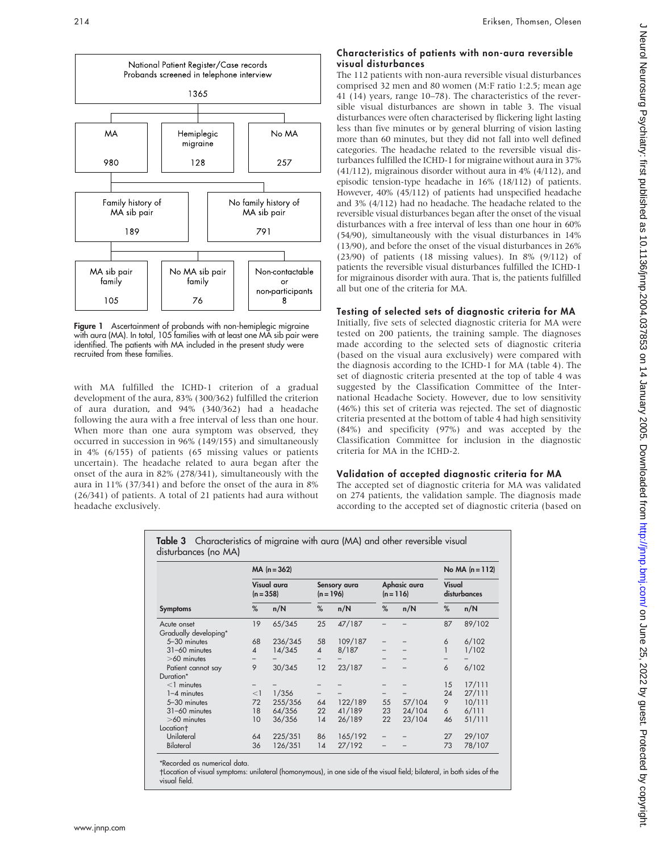

Figure 1 Ascertainment of probands with non-hemiplegic migraine with aura (MA). In total, 105 families with at least one MA sib pair were identified. The patients with MA included in the present study were recruited from these families.

with MA fulfilled the ICHD-1 criterion of a gradual development of the aura, 83% (300/362) fulfilled the criterion of aura duration, and 94% (340/362) had a headache following the aura with a free interval of less than one hour. When more than one aura symptom was observed, they occurred in succession in 96% (149/155) and simultaneously in 4% (6/155) of patients (65 missing values or patients uncertain). The headache related to aura began after the onset of the aura in 82% (278/341), simultaneously with the aura in 11% (37/341) and before the onset of the aura in 8% (26/341) of patients. A total of 21 patients had aura without headache exclusively.

#### Characteristics of patients with non-aura reversible visual disturbances

The 112 patients with non-aura reversible visual disturbances comprised 32 men and 80 women (M:F ratio 1:2.5; mean age 41 (14) years, range 10–78). The characteristics of the reversible visual disturbances are shown in table 3. The visual disturbances were often characterised by flickering light lasting less than five minutes or by general blurring of vision lasting more than 60 minutes, but they did not fall into well defined categories. The headache related to the reversible visual disturbances fulfilled the ICHD-1 for migraine without aura in 37% (41/112), migrainous disorder without aura in 4% (4/112), and episodic tension-type headache in 16% (18/112) of patients. However, 40% (45/112) of patients had unspecified headache and 3% (4/112) had no headache. The headache related to the reversible visual disturbances began after the onset of the visual disturbances with a free interval of less than one hour in 60% (54/90), simultaneously with the visual disturbances in 14% (13/90), and before the onset of the visual disturbances in 26% (23/90) of patients (18 missing values). In 8% (9/112) of patients the reversible visual disturbances fulfilled the ICHD-1 for migrainous disorder with aura. That is, the patients fulfilled all but one of the criteria for MA.

#### Testing of selected sets of diagnostic criteria for MA

Initially, five sets of selected diagnostic criteria for MA were tested on 200 patients, the training sample. The diagnoses made according to the selected sets of diagnostic criteria (based on the visual aura exclusively) were compared with the diagnosis according to the ICHD-1 for MA (table 4). The set of diagnostic criteria presented at the top of table 4 was suggested by the Classification Committee of the International Headache Society. However, due to low sensitivity (46%) this set of criteria was rejected. The set of diagnostic criteria presented at the bottom of table 4 had high sensitivity (84%) and specificity (97%) and was accepted by the Classification Committee for inclusion in the diagnostic criteria for MA in the ICHD-2.

#### Validation of accepted diagnostic criteria for MA

The accepted set of diagnostic criteria for MA was validated on 274 patients, the validation sample. The diagnosis made according to the accepted set of diagnostic criteria (based on

| Table 3 Characteristics of migraine with aura (MA) and other reversible visual |  |
|--------------------------------------------------------------------------------|--|
| disturbances (no MA)                                                           |  |

|                       | $MA (n = 362)$           | No $MA (n = 112)$ |                |                             |    |                             |                        |        |  |
|-----------------------|--------------------------|-------------------|----------------|-----------------------------|----|-----------------------------|------------------------|--------|--|
|                       | $(n = 358)$              | Visual aura       |                | Sensory aura<br>$(n = 196)$ |    | Aphasic aura<br>$(n = 116)$ | Visual<br>disturbances |        |  |
| <b>Symptoms</b>       | %                        | n/N               | %              | n/N                         | %  | n/N                         | %                      | n/N    |  |
| Acute onset           | 19                       | 65/345            | 25             | 47/187                      |    |                             | 87                     | 89/102 |  |
| Gradually developing* |                          |                   |                |                             |    |                             |                        |        |  |
| 5-30 minutes          | 68                       | 236/345           | 58             | 109/187                     |    |                             | 6                      | 6/102  |  |
| 31-60 minutes         | $\boldsymbol{\varDelta}$ | 14/345            | $\overline{4}$ | 8/187                       |    |                             |                        | 1/102  |  |
| $>60$ minutes         |                          |                   |                |                             |    |                             | —                      |        |  |
| Patient cannot say    | 9                        | 30/345            | 12             | 23/187                      |    |                             | 6                      | 6/102  |  |
| Duration*             |                          |                   |                |                             |    |                             |                        |        |  |
| $<$ 1 minutes         |                          |                   |                |                             |    |                             | 15                     | 17/111 |  |
| $1-4$ minutes         | $<$ 1                    | 1/356             |                |                             |    |                             | 24                     | 27/111 |  |
| 5-30 minutes          | 72                       | 255/356           | 64             | 122/189                     | 55 | 57/104                      | 9                      | 10/111 |  |
| 31-60 minutes         | 18                       | 64/356            | 22             | 41/189                      | 23 | 24/104                      | 6                      | 6/111  |  |
| $>60$ minutes         | 10                       | 36/356            | 14             | 26/189                      | 22 | 23/104                      | 46                     | 51/111 |  |
| Location <sup>+</sup> |                          |                   |                |                             |    |                             |                        |        |  |
| Unilateral            | 64                       | 225/351           | 86             | 165/192                     |    |                             | 27                     | 29/107 |  |
| Bilateral             | 36                       | 126/351           | 14             | 27/192                      |    |                             | 73                     | 78/107 |  |

\*Recorded as numerical data.

Location of visual symptoms: unilateral (homonymous), in one side of the visual field; bilateral, in both sides of the visual field.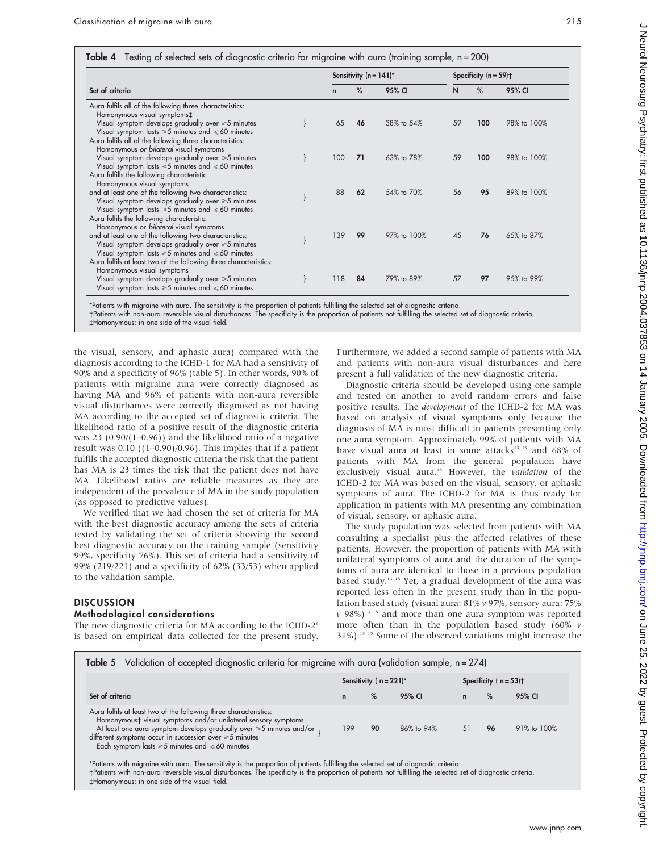#### Table 4 Testing of selected sets of diagnostic criteria for migraine with aura (training sample, n = 200)

|                                                                                                                                                                                                                                                                                                                                          | Sensitivity $(n = 141)^*$ |    |                   | Specificity $(n = 59)$ <sup>+</sup> |      |             |
|------------------------------------------------------------------------------------------------------------------------------------------------------------------------------------------------------------------------------------------------------------------------------------------------------------------------------------------|---------------------------|----|-------------------|-------------------------------------|------|-------------|
| Set of criteria                                                                                                                                                                                                                                                                                                                          | $\mathbf n$               | %  | 95% CI            | N                                   | $\%$ | 95% CI      |
| Aura fulfils all of the following three characteristics:<br>Homonymous visual symptoms‡<br>Visual symptom develops gradually over $\geq 5$ minutes<br>Visual symptom lasts $\geq 5$ minutes and $\leq 60$ minutes<br>Aura fulfils all of the following three characteristics:                                                            | 65                        | 46 | 38% to 54%        | 59                                  | 100  | 98% to 100% |
| Homonymous or bilateral visual symptoms<br>Visual symptom develops gradually over $\geq 5$ minutes<br>Visual symptom lasts $\geq 5$ minutes and $\leq 60$ minutes<br>Aura fulfills the following characteristic:                                                                                                                         | 100                       | 71 | $6.3\%$ to $78\%$ | 59                                  | 100  | 98% to 100% |
| Homonymous visual symptoms<br>and at least one of the following two characteristics:<br>Visual symptom develops gradually over $\geq 5$ minutes<br>Visual symptom lasts $\geq 5$ minutes and $\leq 60$ minutes                                                                                                                           | 88                        | 62 | 54% to 70%        | 56                                  | 95   | 89% to 100% |
| Aura fulfils the following characteristic:<br>Homonymous or bilateral visual symptoms<br>and at least one of the following two characteristics:<br>Visual symptom develops gradually over ≥5 minutes<br>Visual symptom lasts $\geq 5$ minutes and $\leq 60$ minutes<br>Aura fulfils at least two of the following three characteristics: | 139                       | 99 | 97% to 100%       | 45                                  | 76   | 65% to 87%  |
| Homonymous visual symptoms<br>Visual symptom develops gradually over $\geq 5$ minutes<br>Visual symptom lasts $\geq 5$ minutes and $\leq 60$ minutes                                                                                                                                                                                     | 118                       | 84 | 79% to 89%        | 57                                  | 97   | 95% to 99%  |

\*Patients with migraine with aura. The sensitivity is the proportion of patients fulfilling the selected set of diagnostic criteria.

Patients with non-aura reversible visual disturbances. The specificity is the proportion of patients not fulfilling the selected set of diagnostic criteria. `Homonymous: in one side of the visual field.

the visual, sensory, and aphasic aura) compared with the diagnosis according to the ICHD-1 for MA had a sensitivity of 90% and a specificity of 96% (table 5). In other words, 90% of patients with migraine aura were correctly diagnosed as having MA and 96% of patients with non-aura reversible visual disturbances were correctly diagnosed as not having MA according to the accepted set of diagnostic criteria. The likelihood ratio of a positive result of the diagnostic criteria was 23 (0.90/(1–0.96)) and the likelihood ratio of a negative result was  $0.10$  ((1–0.90)/0.96). This implies that if a patient fulfils the accepted diagnostic criteria the risk that the patient has MA is 23 times the risk that the patient does not have MA. Likelihood ratios are reliable measures as they are independent of the prevalence of MA in the study population (as opposed to predictive values).

We verified that we had chosen the set of criteria for MA with the best diagnostic accuracy among the sets of criteria tested by validating the set of criteria showing the second best diagnostic accuracy on the training sample (sensitivity 99%, specificity 76%). This set of criteria had a sensitivity of 99% (219/221) and a specificity of 62% (33/53) when applied to the validation sample.

## **DISCUSSION**

## Methodological considerations

The new diagnostic criteria for MA according to the ICHD-2<sup>9</sup> is based on empirical data collected for the present study. Furthermore, we added a second sample of patients with MA and patients with non-aura visual disturbances and here present a full validation of the new diagnostic criteria.

Diagnostic criteria should be developed using one sample and tested on another to avoid random errors and false positive results. The development of the ICHD-2 for MA was based on analysis of visual symptoms only because the diagnosis of MA is most difficult in patients presenting only one aura symptom. Approximately 99% of patients with MA have visual aura at least in some attacks<sup>13 15</sup> and 68% of patients with MA from the general population have exclusively visual aura.<sup>15</sup> However, the validation of the ICHD-2 for MA was based on the visual, sensory, or aphasic symptoms of aura. The ICHD-2 for MA is thus ready for application in patients with MA presenting any combination of visual, sensory, or aphasic aura.

The study population was selected from patients with MA consulting a specialist plus the affected relatives of these patients. However, the proportion of patients with MA with unilateral symptoms of aura and the duration of the symptoms of aura are identical to those in a previous population based study.13 15 Yet, a gradual development of the aura was reported less often in the present study than in the population based study (visual aura: 81% v 97%, sensory aura: 75%  $v$  98%)<sup>13-15</sup> and more than one aura symptom was reported more often than in the population based study (60%  $\nu$ 31%).13 15 Some of the observed variations might increase the

|                                                                                                                                                                                                                                                                                                                                               | Sensitivity ( $n = 221$ )* |    |            |              |    | Specificity ( $n = 53$ )† |  |  |
|-----------------------------------------------------------------------------------------------------------------------------------------------------------------------------------------------------------------------------------------------------------------------------------------------------------------------------------------------|----------------------------|----|------------|--------------|----|---------------------------|--|--|
| Set of criteria                                                                                                                                                                                                                                                                                                                               | n                          | %  | 95% CI     | $\mathsf{n}$ | %  | 95% CI                    |  |  |
| Aura fulfils at least two of the following three characteristics:<br>Homonymous‡ visual symptoms and/or unilateral sensory symptoms<br>At least one aura symptom develops gradually over $\geq 5$ minutes and/or<br>different symptoms occur in succession over $\geq 5$ minutes<br>Each symptom lasts $\geq 5$ minutes and $\leq 60$ minutes | 199                        | 90 | 86% to 94% | 51           | 96 | 91% to 100%               |  |  |

Patients with non-aura reversible visual disturbances. The specificity is the proportion of patients not fulfilling the selected set of diagnostic criteria. `Homonymous: in one side of the visual field.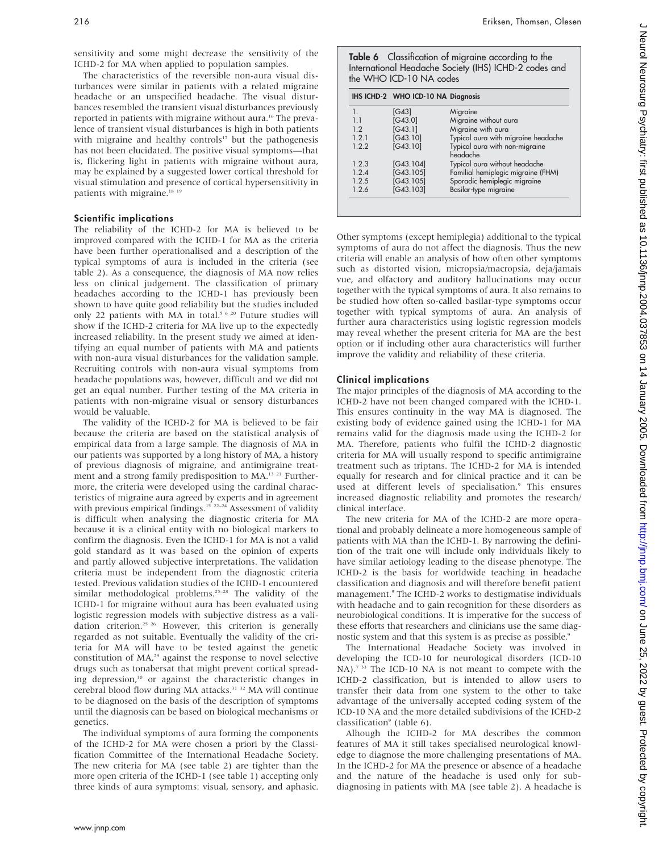sensitivity and some might decrease the sensitivity of the ICHD-2 for MA when applied to population samples.

The characteristics of the reversible non-aura visual disturbances were similar in patients with a related migraine headache or an unspecified headache. The visual disturbances resembled the transient visual disturbances previously reported in patients with migraine without aura.<sup>16</sup> The prevalence of transient visual disturbances is high in both patients with migraine and healthy controls $17$  but the pathogenesis has not been elucidated. The positive visual symptoms—that is, flickering light in patients with migraine without aura, may be explained by a suggested lower cortical threshold for visual stimulation and presence of cortical hypersensitivity in patients with migraine.<sup>18 19</sup>

#### Scientific implications

The reliability of the ICHD-2 for MA is believed to be improved compared with the ICHD-1 for MA as the criteria have been further operationalised and a description of the typical symptoms of aura is included in the criteria (see table 2). As a consequence, the diagnosis of MA now relies less on clinical judgement. The classification of primary headaches according to the ICHD-1 has previously been shown to have quite good reliability but the studies included only 22 patients with MA in total.<sup>5 6 20</sup> Future studies will show if the ICHD-2 criteria for MA live up to the expectedly increased reliability. In the present study we aimed at identifying an equal number of patients with MA and patients with non-aura visual disturbances for the validation sample. Recruiting controls with non-aura visual symptoms from headache populations was, however, difficult and we did not get an equal number. Further testing of the MA criteria in patients with non-migraine visual or sensory disturbances would be valuable.

The validity of the ICHD-2 for MA is believed to be fair because the criteria are based on the statistical analysis of empirical data from a large sample. The diagnosis of MA in our patients was supported by a long history of MA, a history of previous diagnosis of migraine, and antimigraine treatment and a strong family predisposition to MA.<sup>13-21</sup> Furthermore, the criteria were developed using the cardinal characteristics of migraine aura agreed by experts and in agreement with previous empirical findings.<sup>15</sup><sup>22-24</sup> Assessment of validity is difficult when analysing the diagnostic criteria for MA because it is a clinical entity with no biological markers to confirm the diagnosis. Even the ICHD-1 for MA is not a valid gold standard as it was based on the opinion of experts and partly allowed subjective interpretations. The validation criteria must be independent from the diagnostic criteria tested. Previous validation studies of the ICHD-1 encountered similar methodological problems.25–28 The validity of the ICHD-1 for migraine without aura has been evaluated using logistic regression models with subjective distress as a validation criterion.<sup>25 26</sup> However, this criterion is generally regarded as not suitable. Eventually the validity of the criteria for MA will have to be tested against the genetic constitution of MA,<sup>29</sup> against the response to novel selective drugs such as tonabersat that might prevent cortical spreading depression,<sup>30</sup> or against the characteristic changes in cerebral blood flow during MA attacks.31 32 MA will continue to be diagnosed on the basis of the description of symptoms until the diagnosis can be based on biological mechanisms or genetics.

The individual symptoms of aura forming the components of the ICHD-2 for MA were chosen a priori by the Classification Committee of the International Headache Society. The new criteria for MA (see table 2) are tighter than the more open criteria of the ICHD-1 (see table 1) accepting only three kinds of aura symptoms: visual, sensory, and aphasic. Table 6 Classification of migraine according to the International Headache Society (IHS) ICHD-2 codes and the WHO ICD-10 NA codes

|                | IHS ICHD-2 WHO ICD-10 NA Diagnosis |                                            |
|----------------|------------------------------------|--------------------------------------------|
| 1.             | [G43]                              | Migraine                                   |
| 1 <sub>1</sub> | [G43.0]                            | Migraine without aura                      |
| 12             | [G43.1]                            | Migraine with aura                         |
| 1.2.1          | [G43.10]                           | Typical aura with migraine headache        |
| 1.2.2          | [G43.10]                           | Typical aura with non-migraine<br>headache |
| 1.2.3          | [G43.104]                          | Typical aura without headache              |
| 1.2.4          | [G43.105]                          | Familial hemiplegic migraine (FHM)         |
| 1.2.5          | [G43.105]                          | Sporadic hemiplegic migraine               |
| 1.2.6          | [G43.103]                          | Basilar-type migraine                      |

Other symptoms (except hemiplegia) additional to the typical symptoms of aura do not affect the diagnosis. Thus the new criteria will enable an analysis of how often other symptoms such as distorted vision, micropsia/macropsia, deja/jamais vue, and olfactory and auditory hallucinations may occur together with the typical symptoms of aura. It also remains to be studied how often so-called basilar-type symptoms occur together with typical symptoms of aura. An analysis of further aura characteristics using logistic regression models may reveal whether the present criteria for MA are the best option or if including other aura characteristics will further improve the validity and reliability of these criteria.

#### Clinical implications

The major principles of the diagnosis of MA according to the ICHD-2 have not been changed compared with the ICHD-1. This ensures continuity in the way MA is diagnosed. The existing body of evidence gained using the ICHD-1 for MA remains valid for the diagnosis made using the ICHD-2 for MA. Therefore, patients who fulfil the ICHD-2 diagnostic criteria for MA will usually respond to specific antimigraine treatment such as triptans. The ICHD-2 for MA is intended equally for research and for clinical practice and it can be used at different levels of specialisation.<sup>9</sup> This ensures increased diagnostic reliability and promotes the research/ clinical interface.

The new criteria for MA of the ICHD-2 are more operational and probably delineate a more homogeneous sample of patients with MA than the ICHD-1. By narrowing the definition of the trait one will include only individuals likely to have similar aetiology leading to the disease phenotype. The ICHD-2 is the basis for worldwide teaching in headache classification and diagnosis and will therefore benefit patient management.<sup>9</sup> The ICHD-2 works to destigmatise individuals with headache and to gain recognition for these disorders as neurobiological conditions. It is imperative for the success of these efforts that researchers and clinicians use the same diagnostic system and that this system is as precise as possible.<sup>9</sup>

The International Headache Society was involved in developing the ICD-10 for neurological disorders (ICD-10 NA).<sup>7 33</sup> The ICD-10 NA is not meant to compete with the ICHD-2 classification, but is intended to allow users to transfer their data from one system to the other to take advantage of the universally accepted coding system of the ICD-10 NA and the more detailed subdivisions of the ICHD-2 classification<sup>9</sup> (table 6).

Alhough the ICHD-2 for MA describes the common features of MA it still takes specialised neurological knowledge to diagnose the more challenging presentations of MA. In the ICHD-2 for MA the presence or absence of a headache and the nature of the headache is used only for subdiagnosing in patients with MA (see table 2). A headache is